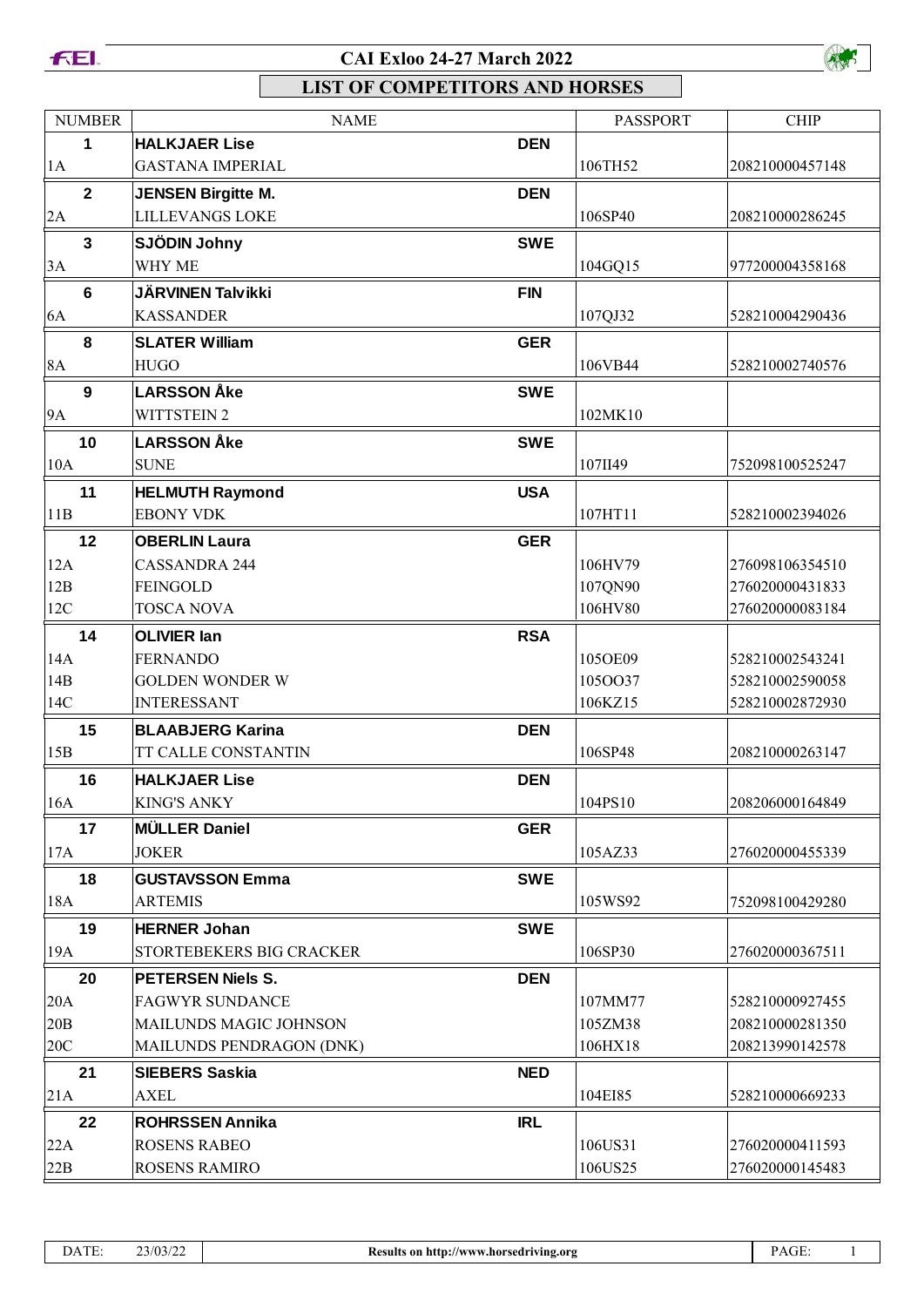



| <b>NUMBER</b>  | <b>NAME</b>               |            | <b>PASSPORT</b> | <b>CHIP</b>     |
|----------------|---------------------------|------------|-----------------|-----------------|
| 1              | <b>HALKJAER Lise</b>      | <b>DEN</b> |                 |                 |
| 1A             | <b>GASTANA IMPERIAL</b>   |            | 106TH52         | 208210000457148 |
| $\mathbf{2}$   | <b>JENSEN Birgitte M.</b> | <b>DEN</b> |                 |                 |
| 2A             | <b>LILLEVANGS LOKE</b>    |            | 106SP40         | 208210000286245 |
| $\mathbf{3}$   | SJÖDIN Johny              | <b>SWE</b> |                 |                 |
| 3A             | WHY ME                    |            | 104GQ15         | 977200004358168 |
| $6\phantom{1}$ | <b>JÄRVINEN Talvikki</b>  | <b>FIN</b> |                 |                 |
| 6A             | <b>KASSANDER</b>          |            | 107QJ32         | 528210004290436 |
| 8              | <b>SLATER William</b>     | <b>GER</b> |                 |                 |
| <b>8A</b>      | <b>HUGO</b>               |            | 106VB44         | 528210002740576 |
| 9              | <b>LARSSON Åke</b>        | <b>SWE</b> |                 |                 |
| <b>9A</b>      | <b>WITTSTEIN 2</b>        |            | 102MK10         |                 |
| 10             | <b>LARSSON Åke</b>        | <b>SWE</b> |                 |                 |
| 10A            | <b>SUNE</b>               |            | 107II49         | 752098100525247 |
| 11             | <b>HELMUTH Raymond</b>    | <b>USA</b> |                 |                 |
| 11B            | <b>EBONY VDK</b>          |            | 107HT11         | 528210002394026 |
| 12             | <b>OBERLIN Laura</b>      | <b>GER</b> |                 |                 |
| 12A            | <b>CASSANDRA 244</b>      |            | 106HV79         | 276098106354510 |
| 12B            | <b>FEINGOLD</b>           |            | 107QN90         | 276020000431833 |
| 12C            | <b>TOSCA NOVA</b>         |            | 106HV80         | 276020000083184 |
| 14             | <b>OLIVIER lan</b>        | <b>RSA</b> |                 |                 |
| 14A            | <b>FERNANDO</b>           |            | 105OE09         | 528210002543241 |
| 14B            | <b>GOLDEN WONDER W</b>    |            | 1050037         | 528210002590058 |
| 14C            | <b>INTERESSANT</b>        |            | 106KZ15         | 528210002872930 |
| 15             | <b>BLAABJERG Karina</b>   | <b>DEN</b> |                 |                 |
| 15B            | TT CALLE CONSTANTIN       |            | 106SP48         | 208210000263147 |
| 16             | <b>HALKJAER Lise</b>      | <b>DEN</b> |                 |                 |
| 16A            | <b>KING'S ANKY</b>        |            | 104PS10         | 208206000164849 |
| 17             | <b>MÜLLER Daniel</b>      | <b>GER</b> |                 |                 |
| 17A            | <b>JOKER</b>              |            | 105AZ33         | 276020000455339 |
| 18             | <b>GUSTAVSSON Emma</b>    | <b>SWE</b> |                 |                 |
| 18A            | <b>ARTEMIS</b>            |            | 105WS92         | 752098100429280 |
| 19             | <b>HERNER Johan</b>       | <b>SWE</b> |                 |                 |
| 19A            | STORTEBEKERS BIG CRACKER  |            | 106SP30         | 276020000367511 |
| 20             | <b>PETERSEN Niels S.</b>  | <b>DEN</b> |                 |                 |
| 20A            | <b>FAGWYR SUNDANCE</b>    |            | 107MM77         | 528210000927455 |
| 20B            | MAILUNDS MAGIC JOHNSON    |            | 105ZM38         | 208210000281350 |
| 20C            | MAILUNDS PENDRAGON (DNK)  |            | 106HX18         | 208213990142578 |
| 21             | <b>SIEBERS Saskia</b>     | <b>NED</b> |                 |                 |
| 21A            | <b>AXEL</b>               |            | 104EI85         | 528210000669233 |
| 22             | <b>ROHRSSEN Annika</b>    | <b>IRL</b> |                 |                 |
| 22A            | <b>ROSENS RABEO</b>       |            | 106US31         | 276020000411593 |
| 22B            | <b>ROSENS RAMIRO</b>      |            | 106US25         | 276020000145483 |
|                |                           |            |                 |                 |

| DATE: | 23/03/2 |
|-------|---------|
|       |         |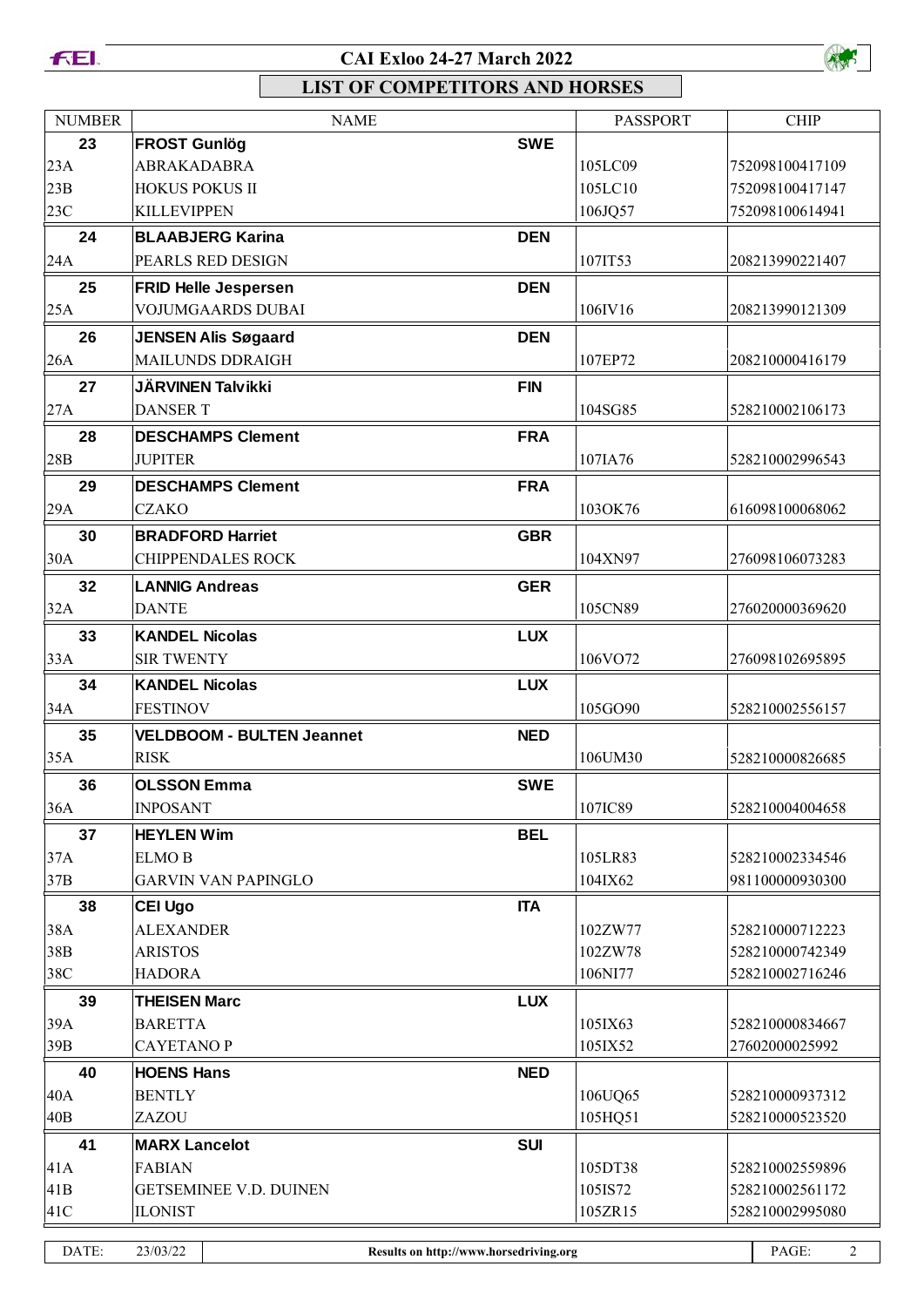



| <b>NUMBER</b> |                          | <b>NAME</b>                      |                                        | <b>PASSPORT</b> | <b>CHIP</b>             |
|---------------|--------------------------|----------------------------------|----------------------------------------|-----------------|-------------------------|
| 23            | <b>FROST Gunlög</b>      |                                  | <b>SWE</b>                             |                 |                         |
| 23A           | ABRAKADABRA              |                                  |                                        | 105LC09         | 752098100417109         |
| 23B           | <b>HOKUS POKUS II</b>    |                                  |                                        | 105LC10         | 752098100417147         |
| 23C           | <b>KILLEVIPPEN</b>       |                                  |                                        | 106JQ57         | 752098100614941         |
| 24            |                          | <b>BLAABJERG Karina</b>          | <b>DEN</b>                             |                 |                         |
| 24A           |                          | PEARLS RED DESIGN                |                                        | 107IT53         | 208213990221407         |
| 25            |                          | <b>FRID Helle Jespersen</b>      | <b>DEN</b>                             |                 |                         |
| 25A           |                          | <b>VOJUMGAARDS DUBAI</b>         |                                        | 106IV16         | 208213990121309         |
| 26            |                          | <b>JENSEN Alis Søgaard</b>       | <b>DEN</b>                             |                 |                         |
| 26A           |                          | <b>MAILUNDS DDRAIGH</b>          |                                        | 107EP72         | 208210000416179         |
| 27            | <b>JÄRVINEN Talvikki</b> |                                  | <b>FIN</b>                             |                 |                         |
| 27A           | <b>DANSER T</b>          |                                  |                                        | 104SG85         | 528210002106173         |
| 28            |                          | <b>DESCHAMPS Clement</b>         | <b>FRA</b>                             |                 |                         |
| 28B           | <b>JUPITER</b>           |                                  |                                        | 107IA76         | 528210002996543         |
| 29            |                          | <b>DESCHAMPS Clement</b>         | <b>FRA</b>                             |                 |                         |
| 29A           | <b>CZAKO</b>             |                                  |                                        | 103OK76         | 616098100068062         |
| 30            | <b>BRADFORD Harriet</b>  |                                  | <b>GBR</b>                             |                 |                         |
| 30A           |                          | <b>CHIPPENDALES ROCK</b>         |                                        | 104XN97         | 276098106073283         |
| 32            | <b>LANNIG Andreas</b>    |                                  | <b>GER</b>                             |                 |                         |
| 32A           | <b>DANTE</b>             |                                  |                                        | 105CN89         | 276020000369620         |
| 33            | <b>KANDEL Nicolas</b>    |                                  | <b>LUX</b>                             |                 |                         |
| 33A           | <b>SIR TWENTY</b>        |                                  |                                        | 106VO72         | 276098102695895         |
| 34            | <b>KANDEL Nicolas</b>    |                                  | <b>LUX</b>                             |                 |                         |
| 34A           | <b>FESTINOV</b>          |                                  |                                        | 105GO90         | 528210002556157         |
| 35            |                          | <b>VELDBOOM - BULTEN Jeannet</b> | <b>NED</b>                             |                 |                         |
| 35A           | <b>RISK</b>              |                                  |                                        | 106UM30         | 528210000826685         |
| 36            | <b>OLSSON Emma</b>       |                                  | <b>SWE</b>                             |                 |                         |
| 36A           | <b>INPOSANT</b>          |                                  |                                        | 107IC89         | 528210004004658         |
| 37            | <b>HEYLEN Wim</b>        |                                  | <b>BEL</b>                             |                 |                         |
| 37A           | <b>ELMO B</b>            |                                  |                                        | 105LR83         | 528210002334546         |
| 37B           |                          | <b>GARVIN VAN PAPINGLO</b>       |                                        | 104IX62         | 981100000930300         |
| 38            | <b>CEI Ugo</b>           |                                  | <b>ITA</b>                             |                 |                         |
| 38A           | <b>ALEXANDER</b>         |                                  |                                        | 102ZW77         | 528210000712223         |
| 38B           | <b>ARISTOS</b>           |                                  |                                        | 102ZW78         | 528210000742349         |
| 38C           | <b>HADORA</b>            |                                  |                                        | 106NI77         | 528210002716246         |
| 39            | <b>THEISEN Marc</b>      |                                  | <b>LUX</b>                             |                 |                         |
| 39A           | <b>BARETTA</b>           |                                  |                                        | 105IX63         | 528210000834667         |
| 39B           | <b>CAYETANOP</b>         |                                  |                                        | 105IX52         | 27602000025992          |
| 40            | <b>HOENS Hans</b>        |                                  | <b>NED</b>                             |                 |                         |
| 40A           | <b>BENTLY</b>            |                                  |                                        | 106UQ65         | 528210000937312         |
| 40B           | ZAZOU                    |                                  |                                        | 105HQ51         | 528210000523520         |
| 41            | <b>MARX Lancelot</b>     |                                  | <b>SUI</b>                             |                 |                         |
| 41A           | <b>FABIAN</b>            |                                  |                                        | 105DT38         | 528210002559896         |
| 41B           |                          | GETSEMINEE V.D. DUINEN           |                                        | 105IS72         | 528210002561172         |
| 41C           | <b>ILONIST</b>           |                                  |                                        | 105ZR15         | 528210002995080         |
| DATE:         | 23/03/22                 |                                  | Results on http://www.horsedriving.org |                 | $\overline{2}$<br>PAGE: |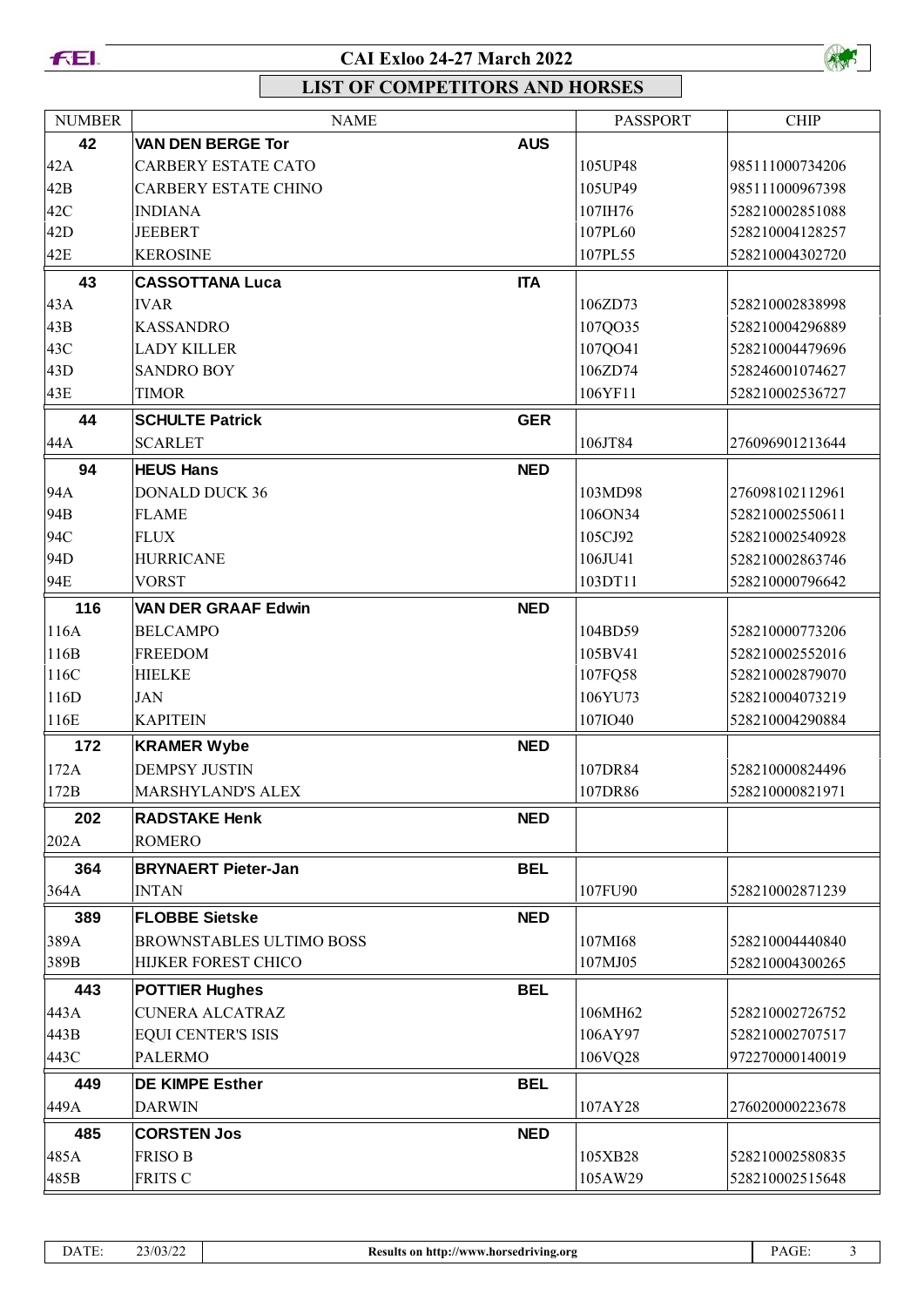



| <b>NUMBER</b> | <b>NAME</b>                     |            | <b>PASSPORT</b> | <b>CHIP</b>     |
|---------------|---------------------------------|------------|-----------------|-----------------|
| 42            | <b>VAN DEN BERGE Tor</b>        | <b>AUS</b> |                 |                 |
| 42A           | <b>CARBERY ESTATE CATO</b>      |            | 105UP48         | 985111000734206 |
| 42B           | <b>CARBERY ESTATE CHINO</b>     |            | 105UP49         | 985111000967398 |
| 42C           | <b>INDIANA</b>                  |            | 107IH76         | 528210002851088 |
| 42D           | <b>JEEBERT</b>                  |            | 107PL60         | 528210004128257 |
| 42E           | <b>KEROSINE</b>                 |            | 107PL55         | 528210004302720 |
| 43            | <b>CASSOTTANA Luca</b>          | <b>ITA</b> |                 |                 |
| 43A           | <b>IVAR</b>                     |            | 106ZD73         | 528210002838998 |
| 43B           | <b>KASSANDRO</b>                |            | 107QO35         | 528210004296889 |
| 43C           | <b>LADY KILLER</b>              |            | 107QO41         | 528210004479696 |
| 43D           | <b>SANDRO BOY</b>               |            | 106ZD74         | 528246001074627 |
| 43E           | <b>TIMOR</b>                    |            | 106YF11         | 528210002536727 |
| 44            | <b>SCHULTE Patrick</b>          | <b>GER</b> |                 |                 |
| 44A           | <b>SCARLET</b>                  |            | 106JT84         | 276096901213644 |
| 94            | <b>HEUS Hans</b>                | <b>NED</b> |                 |                 |
| 94A           | <b>DONALD DUCK 36</b>           |            | 103MD98         | 276098102112961 |
| 94B           | <b>FLAME</b>                    |            | 106ON34         | 528210002550611 |
| 94C           | <b>FLUX</b>                     |            | 105CJ92         | 528210002540928 |
| 94D           | <b>HURRICANE</b>                |            | 106JU41         | 528210002863746 |
| 94E           | <b>VORST</b>                    |            | 103DT11         | 528210000796642 |
| 116           | <b>VAN DER GRAAF Edwin</b>      | <b>NED</b> |                 |                 |
| 116A          | <b>BELCAMPO</b>                 |            | 104BD59         | 528210000773206 |
| 116B          | <b>FREEDOM</b>                  |            | 105BV41         | 528210002552016 |
| 116C          | <b>HIELKE</b>                   |            | 107FQ58         | 528210002879070 |
| 116D          | <b>JAN</b>                      |            | 106YU73         | 528210004073219 |
| 116E          | <b>KAPITEIN</b>                 |            | 107IO40         | 528210004290884 |
| 172           | <b>KRAMER Wybe</b>              | <b>NED</b> |                 |                 |
| 172A          | <b>DEMPSY JUSTIN</b>            |            | 107DR84         | 528210000824496 |
| 172B          | MARSHYLAND'S ALEX               |            | 107DR86         | 528210000821971 |
| 202           | <b>RADSTAKE Henk</b>            | <b>NED</b> |                 |                 |
| 202A          | <b>ROMERO</b>                   |            |                 |                 |
| 364           | <b>BRYNAERT Pieter-Jan</b>      | <b>BEL</b> |                 |                 |
| 364A          | <b>INTAN</b>                    |            | 107FU90         | 528210002871239 |
| 389           | <b>FLOBBE Sietske</b>           | <b>NED</b> |                 |                 |
| 389A          | <b>BROWNSTABLES ULTIMO BOSS</b> |            | 107MI68         | 528210004440840 |
| 389B          | HIJKER FOREST CHICO             |            | 107MJ05         | 528210004300265 |
| 443           | <b>POTTIER Hughes</b>           | <b>BEL</b> |                 |                 |
| 443A          | <b>CUNERA ALCATRAZ</b>          |            | 106MH62         | 528210002726752 |
| 443B          | <b>EQUI CENTER'S ISIS</b>       |            | 106AY97         | 528210002707517 |
| 443C          | <b>PALERMO</b>                  |            | 106VQ28         | 972270000140019 |
| 449           | <b>DE KIMPE Esther</b>          | <b>BEL</b> |                 |                 |
| 449A          | <b>DARWIN</b>                   |            | 107AY28         | 276020000223678 |
| 485           | <b>CORSTEN Jos</b>              | <b>NED</b> |                 |                 |
| 485A          | <b>FRISO B</b>                  |            | 105XB28         | 528210002580835 |
| 485B          | FRITS C                         |            | 105AW29         | 528210002515648 |
|               |                                 |            |                 |                 |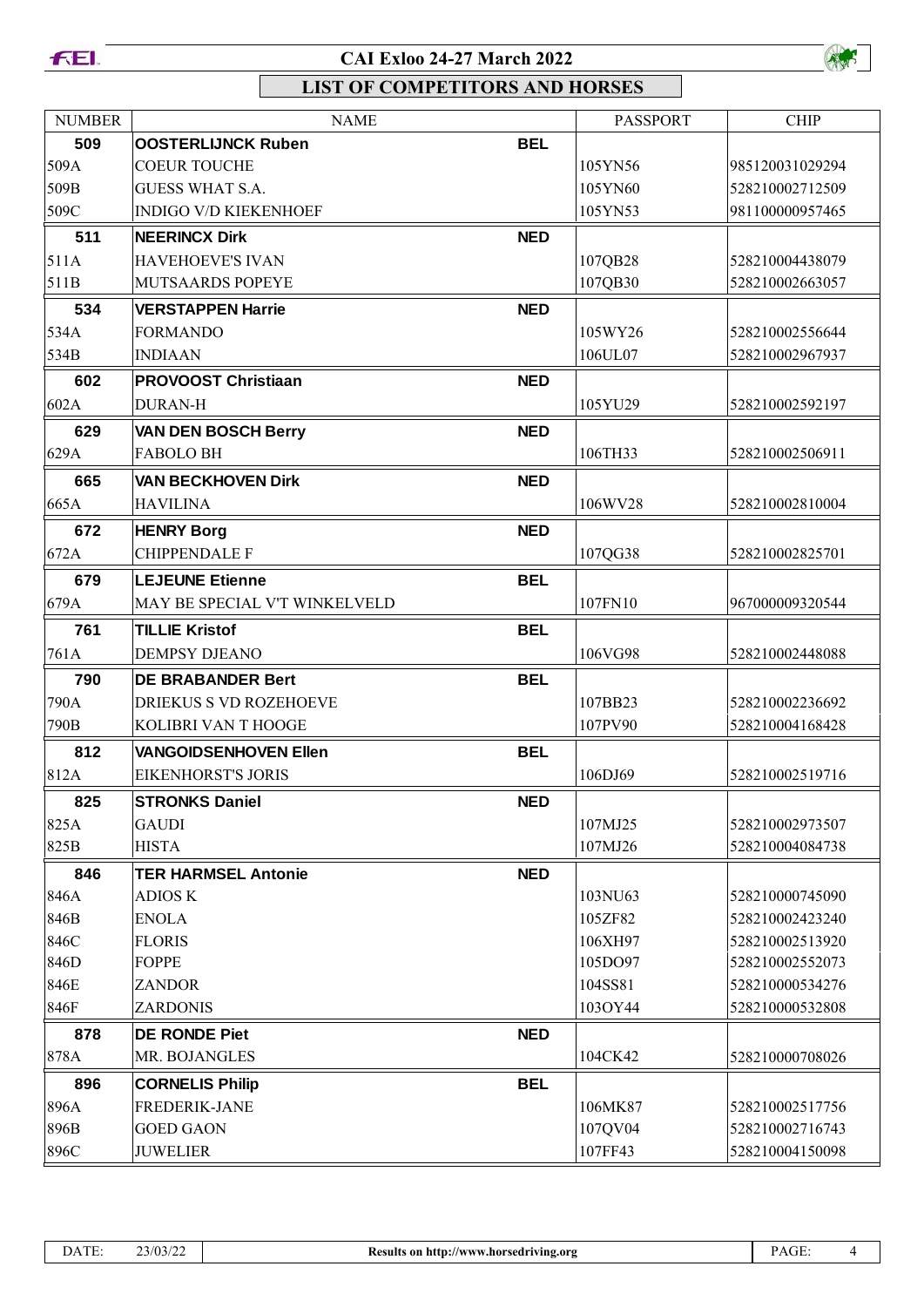



| <b>NUMBER</b> | <b>NAME</b>                   |            | <b>PASSPORT</b> | <b>CHIP</b>     |
|---------------|-------------------------------|------------|-----------------|-----------------|
| 509           | <b>OOSTERLIJNCK Ruben</b>     | <b>BEL</b> |                 |                 |
| 509A          | <b>COEUR TOUCHE</b>           |            | 105YN56         | 985120031029294 |
| 509B          | <b>GUESS WHAT S.A.</b>        |            | 105YN60         | 528210002712509 |
| 509C          | <b>INDIGO V/D KIEKENHOEF</b>  |            | 105YN53         | 981100000957465 |
| 511           | <b>NEERINCX Dirk</b>          | <b>NED</b> |                 |                 |
| 511A          | <b>HAVEHOEVE'S IVAN</b>       |            | 107QB28         | 528210004438079 |
| 511B          | <b>MUTSAARDS POPEYE</b>       |            | 107QB30         | 528210002663057 |
| 534           | <b>VERSTAPPEN Harrie</b>      | <b>NED</b> |                 |                 |
| 534A          | <b>FORMANDO</b>               |            | 105WY26         | 528210002556644 |
| 534B          | <b>INDIAAN</b>                |            | 106UL07         | 528210002967937 |
| 602           | <b>PROVOOST Christiaan</b>    | <b>NED</b> |                 |                 |
| 602A          | <b>DURAN-H</b>                |            | 105YU29         | 528210002592197 |
| 629           | <b>VAN DEN BOSCH Berry</b>    | <b>NED</b> |                 |                 |
| 629A          | <b>FABOLO BH</b>              |            | 106TH33         | 528210002506911 |
| 665           | <b>VAN BECKHOVEN Dirk</b>     | <b>NED</b> |                 |                 |
| 665A          | <b>HAVILINA</b>               |            | 106WV28         | 528210002810004 |
| 672           | <b>HENRY Borg</b>             | <b>NED</b> |                 |                 |
| 672A          | <b>CHIPPENDALE F</b>          |            | 107QG38         | 528210002825701 |
| 679           | <b>LEJEUNE Etienne</b>        | <b>BEL</b> |                 |                 |
| 679A          | MAY BE SPECIAL V'T WINKELVELD |            | 107FN10         | 967000009320544 |
| 761           | <b>TILLIE Kristof</b>         | <b>BEL</b> |                 |                 |
| 761A          | <b>DEMPSY DJEANO</b>          |            | 106VG98         | 528210002448088 |
| 790           | <b>DE BRABANDER Bert</b>      | <b>BEL</b> |                 |                 |
| 790A          | <b>DRIEKUS S VD ROZEHOEVE</b> |            | 107BB23         | 528210002236692 |
| 790B          | KOLIBRI VAN T HOOGE           |            | 107PV90         | 528210004168428 |
| 812           | <b>VANGOIDSENHOVEN Ellen</b>  | <b>BEL</b> |                 |                 |
| 812A          | <b>EIKENHORST'S JORIS</b>     |            | 106DJ69         | 528210002519716 |
| 825           | <b>STRONKS Daniel</b>         | <b>NED</b> |                 |                 |
| 825A          | GAUDI                         |            | 107MJ25         | 528210002973507 |
| 825B          | <b>HISTA</b>                  |            | 107MJ26         | 528210004084738 |
| 846           | <b>TER HARMSEL Antonie</b>    | <b>NED</b> |                 |                 |
| 846A          | <b>ADIOS K</b>                |            | 103NU63         | 528210000745090 |
| 846B          | <b>ENOLA</b>                  |            | 105ZF82         | 528210002423240 |
| 846C          | <b>FLORIS</b>                 |            | 106XH97         | 528210002513920 |
| 846D          | <b>FOPPE</b>                  |            | 105DO97         | 528210002552073 |
| 846E          | <b>ZANDOR</b>                 |            | 104SS81         | 528210000534276 |
| 846F          | <b>ZARDONIS</b>               |            | 103OY44         | 528210000532808 |
| 878           | <b>DE RONDE Piet</b>          | <b>NED</b> |                 |                 |
| 878A          | MR. BOJANGLES                 |            | 104CK42         | 528210000708026 |
| 896           | <b>CORNELIS Philip</b>        | <b>BEL</b> |                 |                 |
| 896A          | FREDERIK-JANE                 |            | 106MK87         | 528210002517756 |
| 896B          | <b>GOED GAON</b>              |            | 107QV04         | 528210002716743 |
| 896C          | <b>JUWELIER</b>               |            | 107FF43         | 528210004150098 |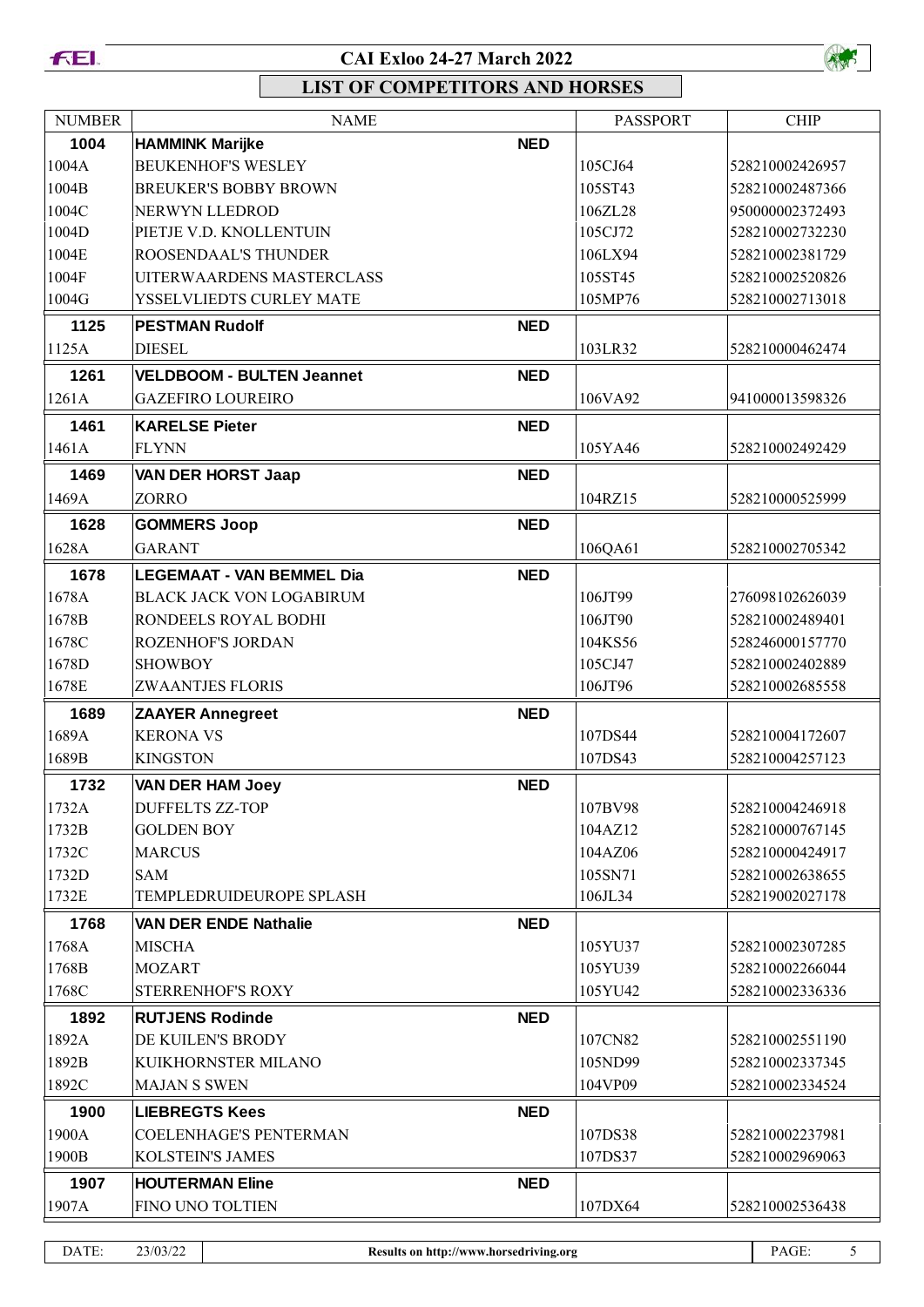



| <b>NUMBER</b> | <b>NAME</b>                      |            | <b>PASSPORT</b> | <b>CHIP</b>     |
|---------------|----------------------------------|------------|-----------------|-----------------|
| 1004          | <b>HAMMINK Marijke</b>           | <b>NED</b> |                 |                 |
| 1004A         | <b>BEUKENHOF'S WESLEY</b>        |            | 105CJ64         | 528210002426957 |
| 1004B         | <b>BREUKER'S BOBBY BROWN</b>     |            | 105ST43         | 528210002487366 |
| 1004C         | NERWYN LLEDROD                   |            | 106ZL28         | 950000002372493 |
| 1004D         | PIETJE V.D. KNOLLENTUIN          |            | 105CJ72         | 528210002732230 |
| 1004E         | ROOSENDAAL'S THUNDER             |            | 106LX94         | 528210002381729 |
| 1004F         | UITERWAARDENS MASTERCLASS        |            | 105ST45         | 528210002520826 |
| 1004G         | YSSELVLIEDTS CURLEY MATE         |            | 105MP76         | 528210002713018 |
| 1125          | <b>PESTMAN Rudolf</b>            | <b>NED</b> |                 |                 |
| 1125A         | <b>DIESEL</b>                    |            | 103LR32         | 528210000462474 |
| 1261          | <b>VELDBOOM - BULTEN Jeannet</b> | <b>NED</b> |                 |                 |
| 1261A         | <b>GAZEFIRO LOUREIRO</b>         |            | 106VA92         | 941000013598326 |
| 1461          | <b>KARELSE Pieter</b>            | <b>NED</b> |                 |                 |
| 1461A         | <b>FLYNN</b>                     |            | 105YA46         | 528210002492429 |
| 1469          | <b>VAN DER HORST Jaap</b>        | <b>NED</b> |                 |                 |
| 1469A         | <b>ZORRO</b>                     |            | 104RZ15         | 528210000525999 |
|               |                                  |            |                 |                 |
| 1628          | <b>GOMMERS Joop</b>              | <b>NED</b> |                 |                 |
| 1628A         | <b>GARANT</b>                    |            | 106QA61         | 528210002705342 |
| 1678          | <b>LEGEMAAT - VAN BEMMEL Dia</b> | <b>NED</b> |                 |                 |
| 1678A         | <b>BLACK JACK VON LOGABIRUM</b>  |            | 106JT99         | 276098102626039 |
| 1678B         | RONDEELS ROYAL BODHI             |            | 106JT90         | 528210002489401 |
| 1678C         | ROZENHOF'S JORDAN                |            | 104KS56         | 528246000157770 |
| 1678D         | <b>SHOWBOY</b>                   |            | 105CJ47         | 528210002402889 |
| 1678E         | <b>ZWAANTJES FLORIS</b>          |            | 106JT96         | 528210002685558 |
| 1689          | <b>ZAAYER Annegreet</b>          | <b>NED</b> |                 |                 |
| 1689A         | <b>KERONA VS</b>                 |            | 107DS44         | 528210004172607 |
| 1689B         | <b>KINGSTON</b>                  |            | 107DS43         | 528210004257123 |
| 1732          | <b>VAN DER HAM Joey</b>          | <b>NED</b> |                 |                 |
| 1732A         | <b>DUFFELTS ZZ-TOP</b>           |            | 107BV98         | 528210004246918 |
| 1732B         | <b>GOLDEN BOY</b>                |            | 104AZ12         | 528210000767145 |
| 1732C         | <b>MARCUS</b>                    |            | 104AZ06         | 528210000424917 |
| 1732D         | SAM                              |            | 105SN71         | 528210002638655 |
| 1732E         | TEMPLEDRUIDEUROPE SPLASH         |            | 106JL34         | 528219002027178 |
| 1768          | <b>VAN DER ENDE Nathalie</b>     | <b>NED</b> |                 |                 |
| 1768A         | <b>MISCHA</b>                    |            | 105YU37         | 528210002307285 |
| 1768B         | <b>MOZART</b>                    |            | 105YU39         | 528210002266044 |
| 1768C         | STERRENHOF'S ROXY                |            | 105YU42         | 528210002336336 |
| 1892          | <b>RUTJENS Rodinde</b>           | <b>NED</b> |                 |                 |
| 1892A         | DE KUILEN'S BRODY                |            | 107CN82         | 528210002551190 |
| 1892B         | KUIKHORNSTER MILANO              |            | 105ND99         | 528210002337345 |
| 1892C         | <b>MAJAN S SWEN</b>              |            | 104VP09         | 528210002334524 |
| 1900          | <b>LIEBREGTS Kees</b>            | <b>NED</b> |                 |                 |
| 1900A         | <b>COELENHAGE'S PENTERMAN</b>    |            | 107DS38         | 528210002237981 |
| 1900B         | <b>KOLSTEIN'S JAMES</b>          |            | 107DS37         | 528210002969063 |
| 1907          | <b>HOUTERMAN Eline</b>           | <b>NED</b> |                 |                 |
| 1907A         | FINO UNO TOLTIEN                 |            | 107DX64         | 528210002536438 |
|               |                                  |            |                 |                 |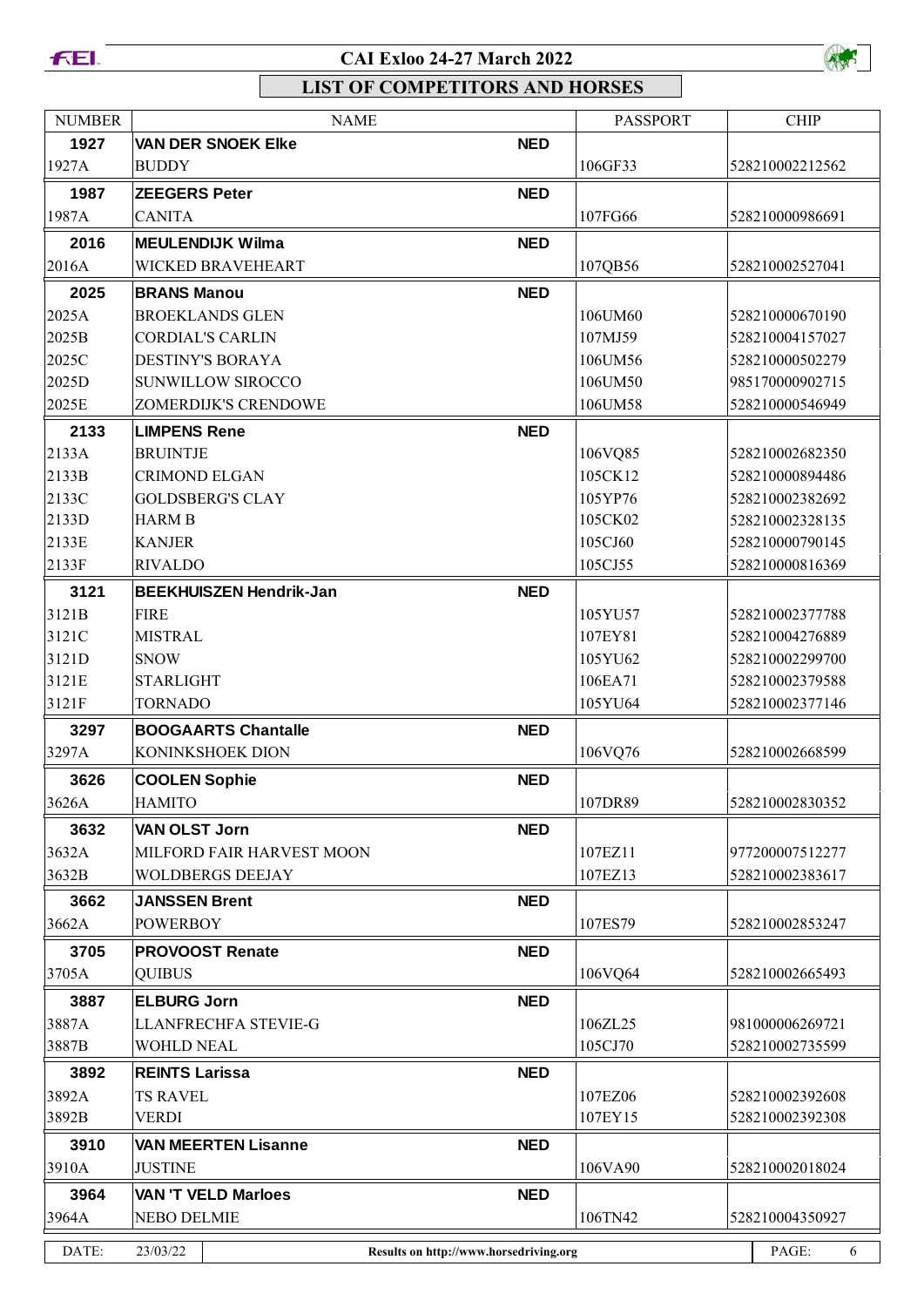



| <b>NUMBER</b> | <b>NAME</b>                                        |            | <b>PASSPORT</b> | <b>CHIP</b>     |
|---------------|----------------------------------------------------|------------|-----------------|-----------------|
| 1927          | <b>VAN DER SNOEK EIKE</b>                          | <b>NED</b> |                 |                 |
| 1927A         | <b>BUDDY</b>                                       |            | 106GF33         | 528210002212562 |
| 1987          | <b>ZEEGERS Peter</b>                               | <b>NED</b> |                 |                 |
| 1987A         | CANITA                                             |            | 107FG66         | 528210000986691 |
| 2016          | <b>MEULENDIJK Wilma</b>                            | <b>NED</b> |                 |                 |
| 2016A         | WICKED BRAVEHEART                                  |            | 107QB56         | 528210002527041 |
| 2025          | <b>BRANS Manou</b>                                 | <b>NED</b> |                 |                 |
| 2025A         | <b>BROEKLANDS GLEN</b>                             |            | 106UM60         | 528210000670190 |
| 2025B         | <b>CORDIAL'S CARLIN</b>                            |            | 107MJ59         | 528210004157027 |
| 2025C         | <b>DESTINY'S BORAYA</b>                            |            | 106UM56         | 528210000502279 |
| 2025D         | SUNWILLOW SIROCCO                                  |            | 106UM50         | 985170000902715 |
| 2025E         | ZOMERDIJK'S CRENDOWE                               |            | 106UM58         | 528210000546949 |
| 2133          | <b>LIMPENS Rene</b>                                | <b>NED</b> |                 |                 |
| 2133A         | <b>BRUINTJE</b>                                    |            | 106VQ85         | 528210002682350 |
| 2133B         | <b>CRIMOND ELGAN</b>                               |            | 105CK12         | 528210000894486 |
| 2133C         | <b>GOLDSBERG'S CLAY</b>                            |            | 105YP76         | 528210002382692 |
| 2133D         | <b>HARM B</b>                                      |            | 105CK02         | 528210002328135 |
| 2133E         | <b>KANJER</b>                                      |            | 105CJ60         | 528210000790145 |
| 2133F         | <b>RIVALDO</b>                                     |            | 105CJ55         | 528210000816369 |
| 3121          | <b>BEEKHUISZEN Hendrik-Jan</b>                     | <b>NED</b> |                 |                 |
| 3121B         | <b>FIRE</b>                                        |            | 105YU57         | 528210002377788 |
| 3121C         | <b>MISTRAL</b>                                     |            | 107EY81         | 528210004276889 |
| 3121D         | <b>SNOW</b>                                        |            | 105YU62         | 528210002299700 |
| 3121E         | <b>STARLIGHT</b>                                   |            | 106EA71         | 528210002379588 |
| 3121F         | <b>TORNADO</b>                                     |            | 105YU64         | 528210002377146 |
|               |                                                    |            |                 |                 |
| 3297          | <b>BOOGAARTS Chantalle</b><br>KONINKSHOEK DION     | <b>NED</b> | 106VQ76         | 528210002668599 |
| 3297A         |                                                    |            |                 |                 |
| 3626          | <b>COOLEN Sophie</b>                               | <b>NED</b> |                 |                 |
| 3626A         | <b>HAMITO</b>                                      |            | 107DR89         | 528210002830352 |
| 3632          | <b>VAN OLST Jorn</b>                               | <b>NED</b> |                 |                 |
| 3632A         | MILFORD FAIR HARVEST MOON                          |            | 107EZ11         | 977200007512277 |
| 3632B         | <b>WOLDBERGS DEEJAY</b>                            |            | 107EZ13         | 528210002383617 |
| 3662          | <b>JANSSEN Brent</b>                               | <b>NED</b> |                 |                 |
| 3662A         | <b>POWERBOY</b>                                    |            | 107ES79         | 528210002853247 |
| 3705          | <b>PROVOOST Renate</b>                             | <b>NED</b> |                 |                 |
| 3705A         | <b>QUIBUS</b>                                      |            | 106VQ64         | 528210002665493 |
| 3887          | <b>ELBURG Jorn</b>                                 | <b>NED</b> |                 |                 |
| 3887A         | LLANFRECHFA STEVIE-G                               |            | 106ZL25         | 981000006269721 |
| 3887B         | <b>WOHLD NEAL</b>                                  |            | 105CJ70         | 528210002735599 |
| 3892          | <b>REINTS Larissa</b>                              | <b>NED</b> |                 |                 |
| 3892A         | <b>TS RAVEL</b>                                    |            | 107EZ06         | 528210002392608 |
| 3892B         | VERDI                                              |            | 107EY15         | 528210002392308 |
| 3910          | <b>VAN MEERTEN Lisanne</b>                         | <b>NED</b> |                 |                 |
| 3910A         | <b>JUSTINE</b>                                     |            | 106VA90         | 528210002018024 |
|               |                                                    |            |                 |                 |
| 3964          | <b>VAN 'T VELD Marloes</b>                         | <b>NED</b> |                 |                 |
| 3964A         | <b>NEBO DELMIE</b>                                 |            | 106TN42         | 528210004350927 |
| DATE:         | 23/03/22<br>Results on http://www.horsedriving.org |            |                 | PAGE:<br>6      |